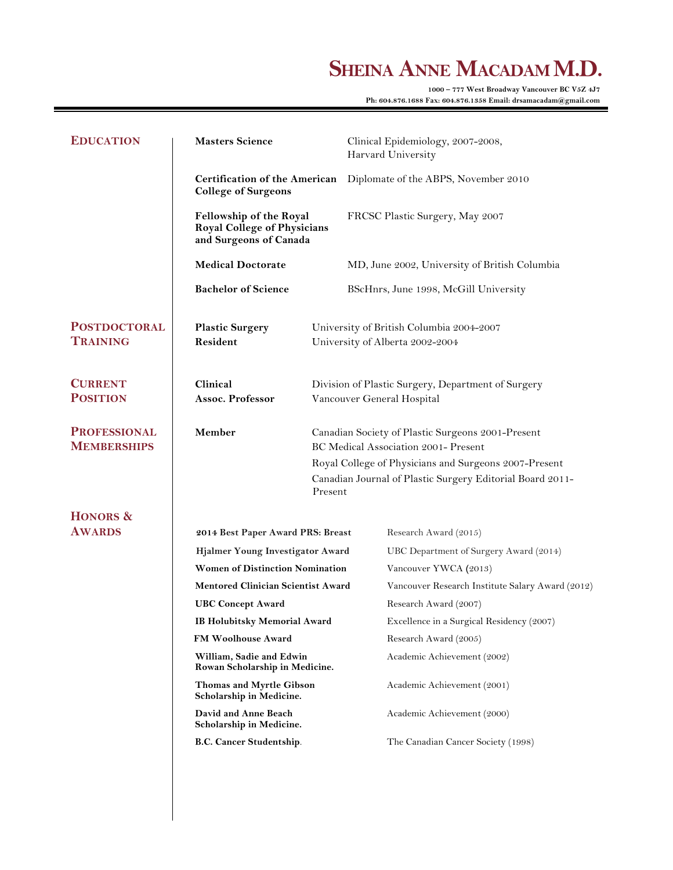# SHEINA ANNE MACADAM M.D.

**Ph: 604.876.1688 Fax: 604.876.1358 Email: drsamacadam@gmail.com**

| <b>EDUCATION</b>                          | <b>Masters Science</b>                                                                                                                                                                                                                                                                                                                                                                                                          |                                                                                                                                                                                                                 | Clinical Epidemiology, 2007-2008,<br>Harvard University |                                                                 |
|-------------------------------------------|---------------------------------------------------------------------------------------------------------------------------------------------------------------------------------------------------------------------------------------------------------------------------------------------------------------------------------------------------------------------------------------------------------------------------------|-----------------------------------------------------------------------------------------------------------------------------------------------------------------------------------------------------------------|---------------------------------------------------------|-----------------------------------------------------------------|
|                                           | <b>Certification of the American</b><br><b>College of Surgeons</b>                                                                                                                                                                                                                                                                                                                                                              |                                                                                                                                                                                                                 |                                                         | Diplomate of the ABPS, November 2010                            |
|                                           | <b>Fellowship of the Royal</b><br>Royal College of Physicians<br>and Surgeons of Canada                                                                                                                                                                                                                                                                                                                                         |                                                                                                                                                                                                                 |                                                         | FRCSC Plastic Surgery, May 2007                                 |
|                                           | <b>Medical Doctorate</b>                                                                                                                                                                                                                                                                                                                                                                                                        |                                                                                                                                                                                                                 |                                                         | MD, June 2002, University of British Columbia                   |
|                                           | <b>Bachelor of Science</b>                                                                                                                                                                                                                                                                                                                                                                                                      |                                                                                                                                                                                                                 |                                                         | BScHnrs, June 1998, McGill University                           |
| <b>POSTDOCTORAL</b><br><b>TRAINING</b>    | <b>Plastic Surgery</b><br>Resident                                                                                                                                                                                                                                                                                                                                                                                              | University of British Columbia 2004-2007<br>University of Alberta 2002-2004                                                                                                                                     |                                                         |                                                                 |
| <b>CURRENT</b><br><b>POSITION</b>         | Clinical<br>Assoc. Professor                                                                                                                                                                                                                                                                                                                                                                                                    | Division of Plastic Surgery, Department of Surgery<br>Vancouver General Hospital                                                                                                                                |                                                         |                                                                 |
| <b>PROFESSIONAL</b><br><b>MEMBERSHIPS</b> | Member                                                                                                                                                                                                                                                                                                                                                                                                                          | Canadian Society of Plastic Surgeons 2001-Present<br>BC Medical Association 2001- Present<br>Royal College of Physicians and Surgeons 2007-Present<br>Canadian Journal of Plastic Surgery Editorial Board 2011- |                                                         |                                                                 |
|                                           |                                                                                                                                                                                                                                                                                                                                                                                                                                 | Present                                                                                                                                                                                                         |                                                         |                                                                 |
| HONORS &<br><b>AWARDS</b>                 |                                                                                                                                                                                                                                                                                                                                                                                                                                 |                                                                                                                                                                                                                 |                                                         |                                                                 |
|                                           | 2014 Best Paper Award PRS: Breast<br>Hjalmer Young Investigator Award<br><b>Women of Distinction Nomination</b><br><b>Mentored Clinician Scientist Award</b><br><b>UBC Concept Award</b><br>IB Holubitsky Memorial Award<br><b>FM Woolhouse Award</b><br>William, Sadie and Edwin<br>Rowan Scholarship in Medicine.<br>Thomas and Myrtle Gibson<br>Scholarship in Medicine.<br>David and Anne Beach<br>Scholarship in Medicine. |                                                                                                                                                                                                                 |                                                         | Research Award (2015)                                           |
|                                           |                                                                                                                                                                                                                                                                                                                                                                                                                                 |                                                                                                                                                                                                                 |                                                         | UBC Department of Surgery Award (2014)<br>Vancouver YWCA (2013) |
|                                           |                                                                                                                                                                                                                                                                                                                                                                                                                                 |                                                                                                                                                                                                                 |                                                         | Vancouver Research Institute Salary Award (2012)                |
|                                           |                                                                                                                                                                                                                                                                                                                                                                                                                                 |                                                                                                                                                                                                                 |                                                         | Research Award (2007)                                           |
|                                           |                                                                                                                                                                                                                                                                                                                                                                                                                                 |                                                                                                                                                                                                                 |                                                         | Excellence in a Surgical Residency (2007)                       |
|                                           |                                                                                                                                                                                                                                                                                                                                                                                                                                 |                                                                                                                                                                                                                 |                                                         | Research Award (2005)                                           |
|                                           |                                                                                                                                                                                                                                                                                                                                                                                                                                 |                                                                                                                                                                                                                 |                                                         | Academic Achievement (2002)                                     |
|                                           |                                                                                                                                                                                                                                                                                                                                                                                                                                 |                                                                                                                                                                                                                 |                                                         | Academic Achievement (2001)                                     |
|                                           |                                                                                                                                                                                                                                                                                                                                                                                                                                 |                                                                                                                                                                                                                 |                                                         | Academic Achievement (2000)                                     |
|                                           | <b>B.C. Cancer Studentship.</b>                                                                                                                                                                                                                                                                                                                                                                                                 |                                                                                                                                                                                                                 |                                                         | The Canadian Cancer Society (1998)                              |
|                                           |                                                                                                                                                                                                                                                                                                                                                                                                                                 |                                                                                                                                                                                                                 |                                                         |                                                                 |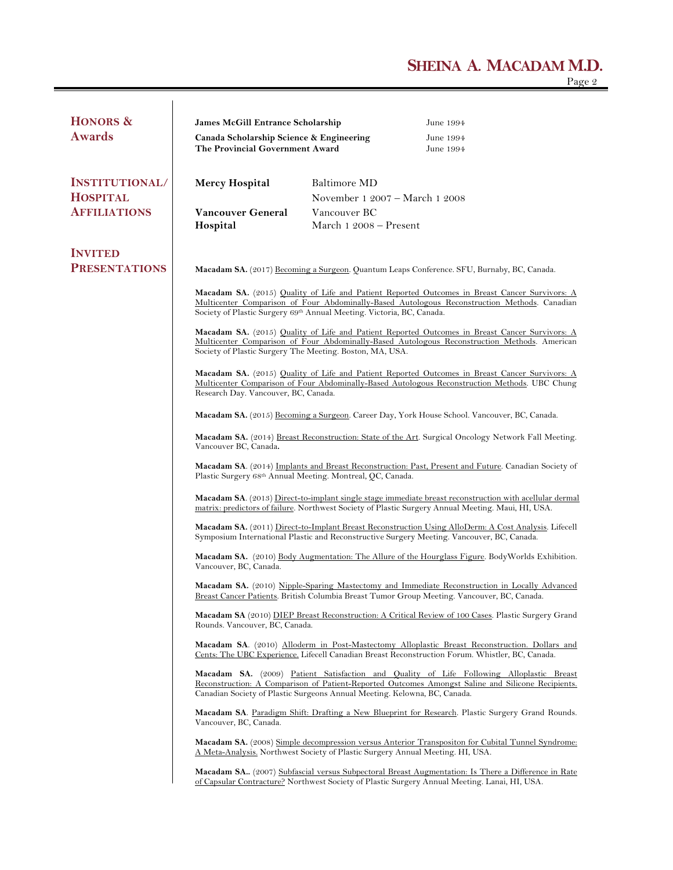## **SHEINA A. MACADAM M.D.** Page 2

| HONORS &              | <b>James McGill Entrance Scholarship</b>                                                                                                                                                                                                                                                                                                                                                                                                                                    |                                                                           | June 1994                                                                                                                                                                                           |  |  |
|-----------------------|-----------------------------------------------------------------------------------------------------------------------------------------------------------------------------------------------------------------------------------------------------------------------------------------------------------------------------------------------------------------------------------------------------------------------------------------------------------------------------|---------------------------------------------------------------------------|-----------------------------------------------------------------------------------------------------------------------------------------------------------------------------------------------------|--|--|
| <b>Awards</b>         | Canada Scholarship Science & Engineering<br>The Provincial Government Award                                                                                                                                                                                                                                                                                                                                                                                                 |                                                                           | June 1994<br>June 1994                                                                                                                                                                              |  |  |
| <b>INSTITUTIONAL/</b> | <b>Mercy Hospital</b>                                                                                                                                                                                                                                                                                                                                                                                                                                                       | Baltimore MD                                                              |                                                                                                                                                                                                     |  |  |
| <b>HOSPITAL</b>       |                                                                                                                                                                                                                                                                                                                                                                                                                                                                             | November 1 2007 – March 1 2008                                            |                                                                                                                                                                                                     |  |  |
| <b>AFFILIATIONS</b>   | Vancouver General                                                                                                                                                                                                                                                                                                                                                                                                                                                           | Vancouver BC                                                              |                                                                                                                                                                                                     |  |  |
|                       | Hospital                                                                                                                                                                                                                                                                                                                                                                                                                                                                    | March 1 2008 - Present                                                    |                                                                                                                                                                                                     |  |  |
| <b>INVITED</b>        |                                                                                                                                                                                                                                                                                                                                                                                                                                                                             |                                                                           |                                                                                                                                                                                                     |  |  |
| <b>PRESENTATIONS</b>  | Macadam SA. (2017) Becoming a Surgeon. Quantum Leaps Conference. SFU, Burnaby, BC, Canada.                                                                                                                                                                                                                                                                                                                                                                                  |                                                                           |                                                                                                                                                                                                     |  |  |
|                       | <b>Macadam SA.</b> (2015) Quality of Life and Patient Reported Outcomes in Breast Cancer Survivors: A<br>Multicenter Comparison of Four Abdominally-Based Autologous Reconstruction Methods. Canadian<br>Society of Plastic Surgery 69th Annual Meeting. Victoria, BC, Canada.                                                                                                                                                                                              |                                                                           |                                                                                                                                                                                                     |  |  |
|                       | Macadam SA. (2015) Quality of Life and Patient Reported Outcomes in Breast Cancer Survivors: A<br>Multicenter Comparison of Four Abdominally-Based Autologous Reconstruction Methods. American<br>Society of Plastic Surgery The Meeting. Boston, MA, USA.                                                                                                                                                                                                                  |                                                                           |                                                                                                                                                                                                     |  |  |
|                       | Macadam SA. (2015) Quality of Life and Patient Reported Outcomes in Breast Cancer Survivors: A<br>Multicenter Comparison of Four Abdominally-Based Autologous Reconstruction Methods. UBC Chung<br>Research Day. Vancouver, BC, Canada.                                                                                                                                                                                                                                     |                                                                           |                                                                                                                                                                                                     |  |  |
|                       | <b>Macadam SA.</b> (2015) Becoming a Surgeon. Career Day, York House School. Vancouver, BC, Canada.<br>Macadam SA. (2014) Breast Reconstruction: State of the Art. Surgical Oncology Network Fall Meeting.<br>Vancouver BC, Canada.                                                                                                                                                                                                                                         |                                                                           |                                                                                                                                                                                                     |  |  |
|                       |                                                                                                                                                                                                                                                                                                                                                                                                                                                                             |                                                                           |                                                                                                                                                                                                     |  |  |
|                       | Macadam SA. (2014) Implants and Breast Reconstruction: Past, Present and Future. Canadian Society of<br>Plastic Surgery 68th Annual Meeting. Montreal, QC, Canada.<br><b>Macadam SA.</b> (2013) Direct-to-implant single stage immediate breast reconstruction with acellular dermal<br>matrix: predictors of failure. Northwest Society of Plastic Surgery Annual Meeting. Maui, HI, USA.                                                                                  |                                                                           |                                                                                                                                                                                                     |  |  |
|                       |                                                                                                                                                                                                                                                                                                                                                                                                                                                                             |                                                                           |                                                                                                                                                                                                     |  |  |
|                       | Macadam SA. (2011) Direct-to-Implant Breast Reconstruction Using AlloDerm: A Cost Analysis. Lifecell<br>Symposium International Plastic and Reconstructive Surgery Meeting. Vancouver, BC, Canada.                                                                                                                                                                                                                                                                          |                                                                           |                                                                                                                                                                                                     |  |  |
|                       | <b>Macadam SA.</b> (2010) Body Augmentation: The Allure of the Hourglass Figure. Body Worlds Exhibition.<br>Vancouver, BC, Canada.<br>Macadam SA. (2010) Nipple-Sparing Mastectomy and Immediate Reconstruction in Locally Advanced<br>Breast Cancer Patients. British Columbia Breast Tumor Group Meeting. Vancouver, BC, Canada.<br>Macadam SA (2010) DIEP Breast Reconstruction: A Critical Review of 100 Cases. Plastic Surgery Grand<br>Rounds. Vancouver, BC, Canada. |                                                                           |                                                                                                                                                                                                     |  |  |
|                       |                                                                                                                                                                                                                                                                                                                                                                                                                                                                             |                                                                           |                                                                                                                                                                                                     |  |  |
|                       |                                                                                                                                                                                                                                                                                                                                                                                                                                                                             |                                                                           |                                                                                                                                                                                                     |  |  |
|                       | Macadam SA. (2010) Alloderm in Post-Mastectomy Alloplastic Breast Reconstruction. Dollars and<br>Cents: The UBC Experience. Lifecell Canadian Breast Reconstruction Forum. Whistler, BC, Canada.                                                                                                                                                                                                                                                                            |                                                                           |                                                                                                                                                                                                     |  |  |
|                       |                                                                                                                                                                                                                                                                                                                                                                                                                                                                             | Canadian Society of Plastic Surgeons Annual Meeting. Kelowna, BC, Canada. | Macadam SA. (2009) Patient Satisfaction and Quality of Life Following Alloplastic Breast<br>Reconstruction: A Comparison of Patient-Reported Outcomes Amongst Saline and Silicone Recipients.       |  |  |
|                       | Macadam SA. Paradigm Shift: Drafting a New Blueprint for Research. Plastic Surgery Grand Rounds.<br>Vancouver, BC, Canada.<br>Macadam SA. (2008) Simple decompression versus Anterior Transpositon for Cubital Tunnel Syndrome:<br>A Meta-Analysis. Northwest Society of Plastic Surgery Annual Meeting. HI, USA.                                                                                                                                                           |                                                                           |                                                                                                                                                                                                     |  |  |
|                       |                                                                                                                                                                                                                                                                                                                                                                                                                                                                             |                                                                           |                                                                                                                                                                                                     |  |  |
|                       |                                                                                                                                                                                                                                                                                                                                                                                                                                                                             |                                                                           | Macadam SA (2007) Subfascial versus Subpectoral Breast Augmentation: Is There a Difference in Rate<br>of Capsular Contracture? Northwest Society of Plastic Surgery Annual Meeting. Lanai, HI, USA. |  |  |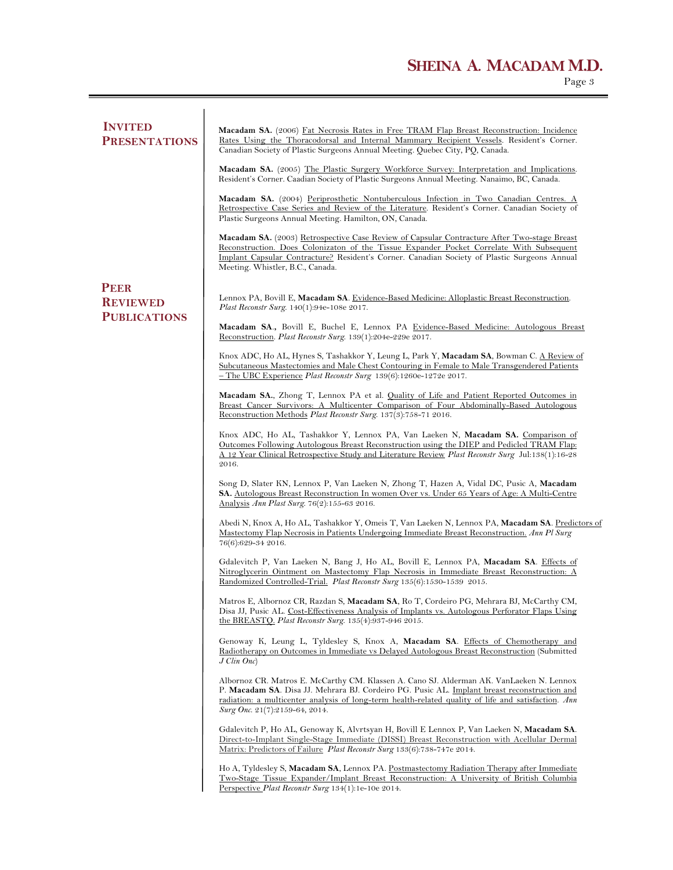## **SHEINA A. MACADAM M.D.** Page 3

| <b>INVITED</b><br><b>PRESENTATIONS</b>                | Macadam SA. (2006) Fat Necrosis Rates in Free TRAM Flap Breast Reconstruction: Incidence<br>Rates Using the Thoracodorsal and Internal Mammary Recipient Vessels. Resident's Corner.<br>Canadian Society of Plastic Surgeons Annual Meeting. Quebec City, PQ, Canada.                                                             |  |  |  |
|-------------------------------------------------------|-----------------------------------------------------------------------------------------------------------------------------------------------------------------------------------------------------------------------------------------------------------------------------------------------------------------------------------|--|--|--|
|                                                       | <b>Macadam SA.</b> (2005) The Plastic Surgery Workforce Survey: Interpretation and Implications.<br>Resident's Corner. Caadian Society of Plastic Surgeons Annual Meeting. Nanaimo, BC, Canada.                                                                                                                                   |  |  |  |
|                                                       | Macadam SA. (2004) Periprosthetic Nontuberculous Infection in Two Canadian Centres. A<br>Retrospective Case Series and Review of the Literature. Resident's Corner. Canadian Society of<br>Plastic Surgeons Annual Meeting. Hamilton, ON, Canada.                                                                                 |  |  |  |
|                                                       | Macadam SA. (2003) Retrospective Case Review of Capsular Contracture After Two-stage Breast<br>Reconstruction. Does Colonizaton of the Tissue Expander Pocket Correlate With Subsequent<br>Implant Capsular Contracture? Resident's Corner. Canadian Society of Plastic Surgeons Annual<br>Meeting. Whistler, B.C., Canada.       |  |  |  |
| <b>PEER</b><br><b>REVIEWED</b><br><b>PUBLICATIONS</b> | Lennox PA, Bovill E, Macadam SA. Evidence-Based Medicine: Alloplastic Breast Reconstruction.<br><i>Plast Reconstr Surg.</i> 140(1):94e-108e 2017.                                                                                                                                                                                 |  |  |  |
|                                                       | Macadam SA., Bovill E, Buchel E, Lennox PA Evidence-Based Medicine: Autologous Breast<br>Reconstruction. Plast Reconstr Surg. 139(1):204e-229e 2017.                                                                                                                                                                              |  |  |  |
|                                                       | Knox ADC, Ho AL, Hynes S, Tashakkor Y, Leung L, Park Y, Macadam SA, Bowman C. <u>A Review of</u><br><u>Subcutaneous Mastectomies and Male Chest Contouring in Female to Male Transgendered Patients</u><br>$-$ The UBC Experience Plast Reconstr Surg 139(6):1260e-1272e 2017.                                                    |  |  |  |
|                                                       | Macadam SA., Zhong T, Lennox PA et al. Quality of Life and Patient Reported Outcomes in<br>Breast Cancer Survivors: A Multicenter Comparison of Four Abdominally-Based Autologous<br>Reconstruction Methods Plast Reconstr Surg. 137(3):758-71 2016.                                                                              |  |  |  |
|                                                       | Knox ADC, Ho AL, Tashakkor Y, Lennox PA, Van Laeken N, Macadam SA. Comparison of<br><u>Outcomes Following Autologous Breast Reconstruction using the DIEP and Pedicled TRAM Flap:</u><br><u>A 12 Year Clinical Retrospective Study and Literature Review Plast Reconstr Surg Jul:138(1):16-28</u><br>2016.                        |  |  |  |
|                                                       | Song D, Slater KN, Lennox P, Van Laeken N, Zhong T, Hazen A, Vidal DC, Pusic A, Macadam<br><b>SA.</b> Autologous Breast Reconstruction In women Over vs. Under 65 Years of Age: A Multi-Centre<br>Analysis Ann Plast Surg. 76(2):155-63 2016.                                                                                     |  |  |  |
|                                                       | Abedi N, Knox A, Ho AL, Tashakkor Y, Omeis T, Van Laeken N, Lennox PA, Macadam SA. Predictors of<br>Mastectomy Flap Necrosis in Patients Undergoing Immediate Breast Reconstruction. Ann Pl Surg<br>76(6):629-34 2016.                                                                                                            |  |  |  |
|                                                       | Gdalevitch P, Van Laeken N, Bang J, Ho AL, Bovill E, Lennox PA, Macadam SA. Effects of<br>Nitroglycerin Ointment on Mastectomy Flap Necrosis in Immediate Breast Reconstruction: A<br>Randomized Controlled-Trial. Plast Reconstr Surg 135(6):1530-1539 2015.                                                                     |  |  |  |
|                                                       | Matros E, Albornoz CR, Razdan S, Macadam SA, Ro T, Cordeiro PG, Mehrara BJ, McCarthy CM,<br>Disa JJ, Pusic AL. Cost-Effectiveness Analysis of Implants vs. Autologous Perforator Flaps Using<br>the BREASTO. Plast Reconstr Surg. 135(4):937-946 2015.                                                                            |  |  |  |
|                                                       | Genoway K, Leung L, Tyldesley S, Knox A, Macadam SA. Effects of Chemotherapy and<br>Radiotherapy on Outcomes in Immediate vs Delayed Autologous Breast Reconstruction (Submitted<br>$J$ Clin Onc)                                                                                                                                 |  |  |  |
|                                                       | Albornoz CR. Matros E. McCarthy CM. Klassen A. Cano SJ. Alderman AK. VanLaeken N. Lennox<br>P. Macadam SA. Disa JJ. Mehrara BJ. Cordeiro PG. Pusic AL. Implant breast reconstruction and<br>radiation: a multicenter analysis of long-term health-related quality of life and satisfaction. Ann<br>Surg Onc. 21(7):2159-64, 2014. |  |  |  |
|                                                       | Gdalevitch P, Ho AL, Genoway K, Alvrtsyan H, Bovill E Lennox P, Van Laeken N, Macadam SA.<br>Direct-to-Implant Single-Stage Immediate (DISSI) Breast Reconstruction with Acellular Dermal<br>Matrix: Predictors of Failure Plast Reconstr Surg 133(6):738-747e 2014.                                                              |  |  |  |
|                                                       | Ho A, Tyldesley S, Macadam SA, Lennox PA. Postmastectomy Radiation Therapy after Immediate<br>Two-Stage Tissue Expander/Implant Breast Reconstruction: A University of British Columbia<br>Perspective Plast Reconstr Surg 134(1):1e-10e 2014.                                                                                    |  |  |  |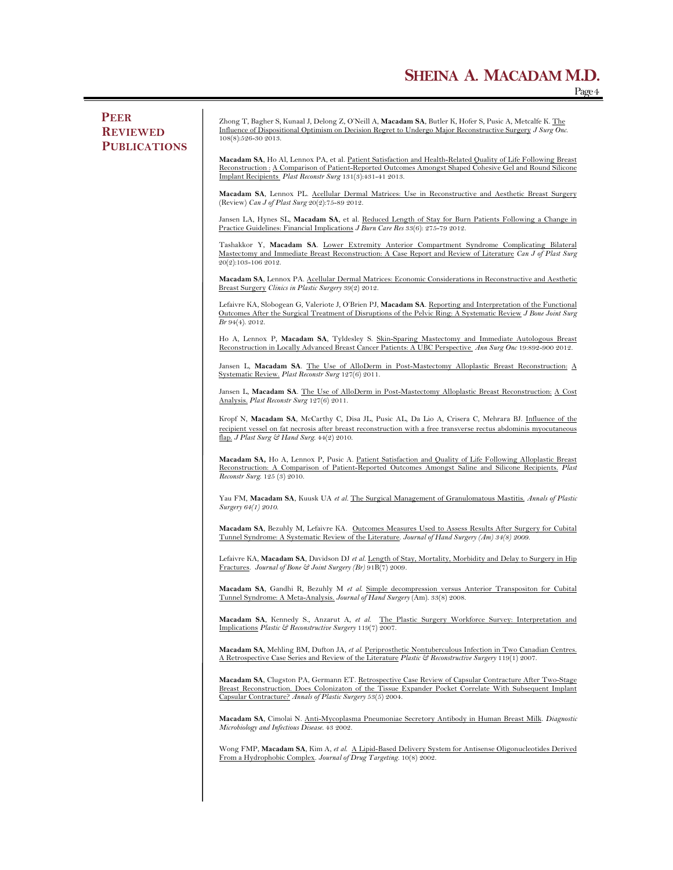**PEER REVIEWED PUBLICATIONS** Zhong T, Bagher S, Kunaal J, Delong Z, O'Neill A, **Macadam SA**, Butler K, Hofer S, Pusic A, Metcalfe K. The Influence of Dispositional Optimism on Decision Regret to Undergo Major Reconstructive Surgery *J Surg Onc*. 108(8):526-30 2013. **Macadam SA**, Ho Al, Lennox PA, et al. Patient Satisfaction and Health-Related Quality of Life Following Breast Reconstruction : A Comparison of Patient-Reported Outcomes Amongst Shaped Cohesive Gel and Round Silicone Implant Recipients *Plast Reconstr Surg* 131(3):431-41 2013. **Macadam SA**, Lennox PL. Acellular Dermal Matrices: Use in Reconstructive and Aesthetic Breast Surgery (Review) *Can J of Plast Surg* 20(2):75-89 2012. Jansen LA, Hynes SL, **Macadam SA**, et al. Reduced Length of Stay for Burn Patients Following a Change in Practice Guidelines: Financial Implications *J Burn Care Res* 33(6): 275-79 2012. Tashakkor Y, **Macadam SA**. Lower Extremity Anterior Compartment Syndrome Complicating Bilateral Mastectomy and Immediate Breast Reconstruction: A Case Report and Review of Literature *Can J of Plast Surg* 20(2):103-106 2012. **Macadam SA**, Lennox PA. Acellular Dermal Matrices: Economic Considerations in Reconstructive and Aesthetic Breast Surgery *Clinics in Plastic Surgery* 39(2) 2012. Lefaivre KA, Slobogean G, Valeriote J, O'Brien PJ, **Macadam SA**. Reporting and Interpretation of the Functional Outcomes After the Surgical Treatment of Disruptions of the Pelvic Ring: A Systematic Review *J Bone Joint Surg Br* 94(4). 2012. Ho A, Lennox P, **Macadam SA**, Tyldesley S. Skin-Sparing Mastectomy and Immediate Autologous Breast Reconstruction in Locally Advanced Breast Cancer Patients: A UBC Perspective *Ann Surg Onc* 19:892-900 2012*.*  Jansen L, **Macadam SA**. The Use of AlloDerm in Post-Mastectomy Alloplastic Breast Reconstruction: A Systematic Review. *Plast Reconstr Surg* 127(6) 2011. Jansen L, **Macadam SA**. The Use of AlloDerm in Post-Mastectomy Alloplastic Breast Reconstruction: A Cost Analysis. *Plast Reconstr Surg* 127(6) 2011. Kropf N, Macadam SA, McCarthy C, Disa JL, Pusic AL, Da Lio A, Crisera C, Mehrara BJ. *Influence* of the recipient vessel on fat necrosis after breast reconstruction with a free transverse rectus abdominis myocutane flap. *J Plast Surg & Hand Surg*. 44(2) 2010. **Macadam SA,** Ho A, Lennox P, Pusic A. Patient Satisfaction and Quality of Life Following Alloplastic Breast Reconstruction: A Comparison of Patient-Reported Outcomes Amongst Saline and Silicone Recipients. *Plast Reconstr Surg*. 125 (3) 2010. Yau FM, Macadam SA, Kuusk UA et al. The Surgical Management of Granulomatous Mastitis. Annals of Plastic *Surgery 64(1) 2010.*  **Macadam SA**, Bezuhly M, Lefaivre KA. Outcomes Measures Used to Assess Results After Surgery for Cubital Tunnel Syndrome: A Systematic Review of the Literature. *Journal of Hand Surgery (Am) 34(8) 2009.*  Lefaivre KA, **Macadam SA**, Davidson DJ *et al.* Length of Stay, Mortality, Morbidity and Delay to Surgery in Hip Fractures. *Journal of Bone & Joint Surgery (Br)* 91B(7) 2009*.*  **Macadam SA**, Gandhi R, Bezuhly M *et al*. Simple decompression versus Anterior Transpositon for Cubital Tunnel Syndrome: A Meta-Analysis. *Journal of Hand Surgery* (Am). 33(8) 2008. **Macadam SA**, Kennedy S., Anzarut A, *et al*. The Plastic Surgery Workforce Survey: Interpretation and Implications *Plastic & Reconstructive Surgery* 119(7) 2007. **Macadam SA**, Mehling BM, Dufton JA, *et al*. Periprosthetic Nontuberculous Infection in Two Canadian Centres. A Retrospective Case Series and Review of the Literature *Plastic & Reconstructive Surgery* 119(1) 2007. **Macadam SA**, Clugston PA, Germann ET. Retrospective Case Review of Capsular Contracture After Two-Stage Breast Reconstruction. Does Colonizaton of the Tissue Expander Pocket Correlate With Subsequent Implant Capsular Contracture? *Annals of Plastic Surgery* 53(5) 2004. **Macadam SA**, Cimolai N. Anti-Mycoplasma Pneumoniae Secretory Antibody in Human Breast Milk. *Diagnostic Microbiology and Infectious Disease*. 43 2002. Wong FMP, **Macadam SA**, Kim A, *et al*. A Lipid-Based Delivery System for Antisense Oligonucleotides Derived From a Hydrophobic Complex. *Journal of Drug Targeting.* 10(8) 2002.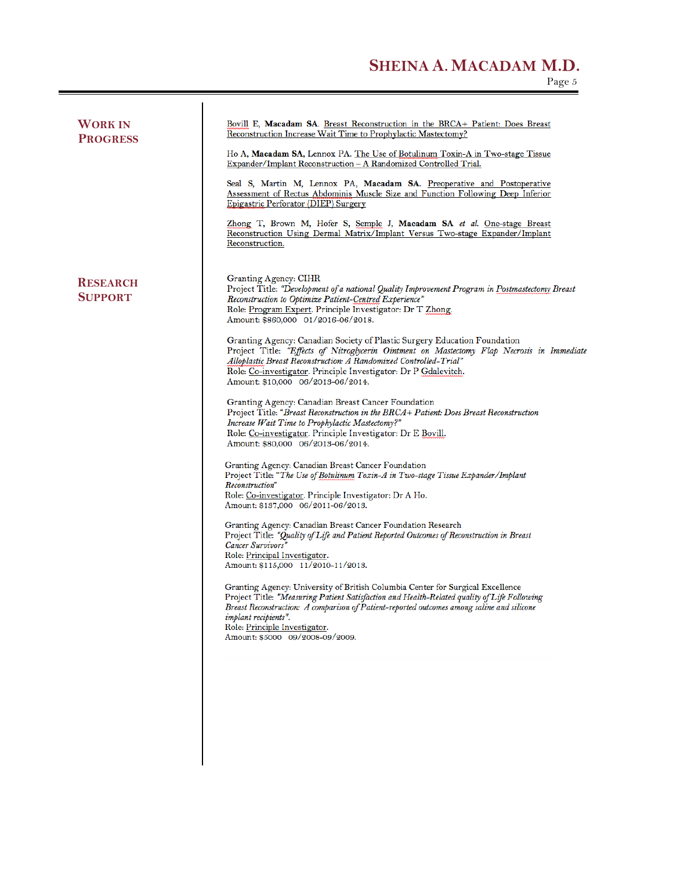### **SHEINA A. MACADAM M.D.**

| <b>WORK IN</b><br><b>PROGRESS</b> | Bovill E, Macadam SA. Breast Reconstruction in the BRCA+ Patient: Does Breast<br>Reconstruction Increase Wait Time to Prophylactic Mastectomy?<br>Ho A, Macadam SA, Lennox PA. The Use of Botulinum Toxin-A in Two-stage Tissue<br>Expander/Implant Reconstruction - A Randomized Controlled Trial.<br>Seal S, Martin M, Lennox PA, Macadam SA. Preoperative and Postoperative<br>Assessment of Rectus Abdominis Muscle Size and Function Following Deep Inferior<br>Epigastric Perforator (DIEP) Surgery<br>Zhong T, Brown M, Hofer S, Semple J, Macadam SA et al. One-stage Breast<br>Reconstruction Using Dermal Matrix/Implant Versus Two-stage Expander/Implant<br>Reconstruction.                                                                                                                                                                                                                                                                                                                                                                                                                                                                                                                                                                                                                                                                                                                                                                                                                                                                                                                                                                                                                                                                                                                                                               |
|-----------------------------------|-------------------------------------------------------------------------------------------------------------------------------------------------------------------------------------------------------------------------------------------------------------------------------------------------------------------------------------------------------------------------------------------------------------------------------------------------------------------------------------------------------------------------------------------------------------------------------------------------------------------------------------------------------------------------------------------------------------------------------------------------------------------------------------------------------------------------------------------------------------------------------------------------------------------------------------------------------------------------------------------------------------------------------------------------------------------------------------------------------------------------------------------------------------------------------------------------------------------------------------------------------------------------------------------------------------------------------------------------------------------------------------------------------------------------------------------------------------------------------------------------------------------------------------------------------------------------------------------------------------------------------------------------------------------------------------------------------------------------------------------------------------------------------------------------------------------------------------------------------|
| <b>RESEARCH</b><br><b>SUPPORT</b> | Granting Agency: CIHR<br>Project Title: "Development of a national Quality Improvement Program in Postmastectomy Breast<br>Reconstruction to Optimize Patient-Centred Experience"<br>Role: Program Expert. Principle Investigator: Dr T Zhong.<br>Amount: \$860,000 01/2016-06/2018.<br>Granting Agency: Canadian Society of Plastic Surgery Education Foundation<br>Project Title: "Effects of Nitroglycerin Ointment on Mastectomy Flap Necrosis in Immediate<br>Alloplastic Breast Reconstruction: A Randomized Controlled-Trial"<br>Role: Co-investigator. Principle Investigator: Dr P Gdalevitch.<br>Amount: \$10,000 06/2013-06/2014.<br>Granting Agency: Canadian Breast Cancer Foundation<br>Project Title: "Breast Reconstruction in the BRCA+ Patient: Does Breast Reconstruction<br>Increase Wait Time to Prophylactic Mastectomy?"<br>Role: Co-investigator. Principle Investigator: Dr E Bovill.<br>Amount: \$80,000 06/2013-06/2014.<br>Granting Agency: Canadian Breast Cancer Foundation<br>Project Title: "The Use of Botulinum Toxin-A in Two-stage Tissue Expander/Implant<br>Reconstruction"<br>Role: Co-investigator. Principle Investigator: Dr A Ho.<br>Amount: \$137,000 06/2011-06/2013.<br>Granting Agency: Canadian Breast Cancer Foundation Research<br>Project Title: "Quality of Life and Patient Reported Outcomes of Reconstruction in Breast<br>Cancer Survivors"<br>Role: Principal Investigator.<br>Amount: \$115,000 11/2010-11/2013.<br>Granting Agency: University of British Columbia Center for Surgical Excellence<br>Project Title: "Measuring Patient Satisfaction and Health-Related quality of Life Following<br>Breast Reconstruction: A comparison of Patient-reported outcomes among saline and silicone<br>implant recipients".<br>Role: Principle Investigator.<br>Amount: \$5000 09/2008-09/2009. |